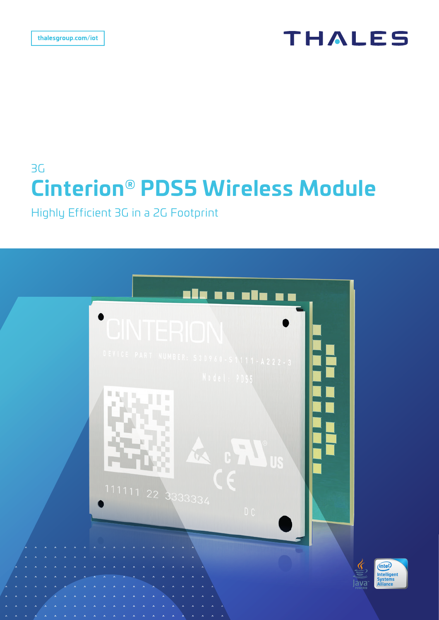# **THALES**

# 3G **Cinterion® PDS5 Wireless Module**

Highly Efficient 3G in a 2G Footprint

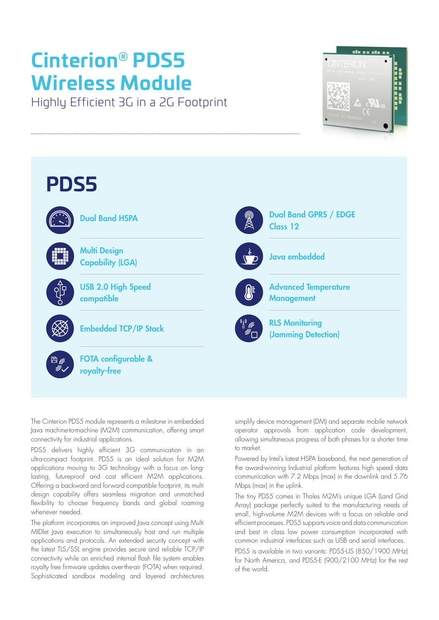# **Cinterion® PDS5 Wireless Module**

Highly Efficient 3G in a 2G Footprint





The Cinterion PDS5 module represents a milestone in embedded Java machine-to-machine (M2M) communication, offering smart connectivity for industrial applications.

PDS5 delivers highly efficient 3G communication in an ultra-compact footprint. PDS5 is an ideal solution for M2M applications moving to 3G technology with a focus on longlasting, futureproof and cost efficient M2M applications. Offering a backward and forward compatible footprint, its multi design capability offers seamless migration and unmatched flexibility to choose frequency bands and global roaming whenever needed.

The platform incorporates an improved lava concept using Multi MIDlet Java execution to simultaneously host and run multiple applications and protocols. An extended security concept with the latest TLS/SSL engine provides secure and reliable TCP/IP connectivity while an enriched internal flash file system enables royalty free firmware updates over-the-air (FOTA) when required. Sophisticated sandbox modeling and layered architectures simplify device management (DM) and separate mobile network operator approvals from application code development, allowing simultaneous progress of both phases for a shorter time to market.

Powered by Intel's latest HSPA baseband, the next generation of the award-winning Industrial platform features high speed data communication with 7.2 Mbps (max) in the downlink and 5.76 Mbps (max) in the uplink.

The tiny PDS5 comes in Thales M2M's unique LGA (Land Grid Array) package perfectly suited to the manufacturing needs of small, high-volume M2M devices with a focus on reliable and efficient processes. PDS5 supports voice and data communication and best in class low power consumption incorporated with common industrial interfaces such as USB and serial interfaces.

PDS5 is available in two variants: PDS5-US (850/1900 MHz) for North America, and PDS5-E (900/2100 MHz) for the rest of the world.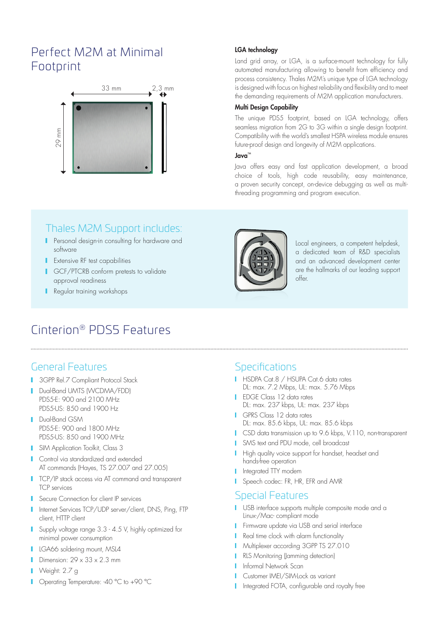## Perfect M2M at Minimal Footprint



#### LGA technology

Land grid array, or LGA, is a surface-mount technology for fully automated manufacturing allowing to benefit from efficiency and process consistency. Thales M2M's unique type of LGA technology is designed with focus on highest reliability and flexibility and to meet the demanding requirements of M2M application manufacturers.

#### Multi Design Capability

The unique PDS5 footprint, based on LGA technology, offers seamless migration from 2G to 3G within a single design footprint. Compatibility with the world's smallest HSPA wireless module ensures future-proof design and longevity of M2M applications.

#### Java™

Java offers easy and fast application development, a broad choice of tools, high code reusability, easy maintenance, a proven security concept, on-device debugging as well as multithreading programming and program execution.

### Thales M2M Support includes:

- **Personal design-in consulting for hardware and** software
- **Extensive RF test capabilities**
- **I** GCF/PTCRB conform pretests to validate approval readiness
- **Regular training workshops**



Local engineers, a competent helpdesk, a dedicated team of R&D specialists and an advanced development center are the hallmarks of our leading support offer.

## Cinterion® PDS5 Features

### General Features

- **3GPP Rel.7 Compliant Protocol Stack**
- Dual-Band UMTS (WCDMA/FDD) PDS5-E: 900 and 2100 MHz PDS5-US: 850 and 1900 Hz
- **Dual-Band GSM** PDS5-E: 900 and 1800 MHz PDS5-US: 850 and 1900 MHz
- **SIM Application Toolkit, Class 3**
- **Control via standardized and extended** AT commands (Hayes, TS 27.007 and 27.005)
- TCP/IP stack access via AT command and transparent TCP services
- **Secure Connection for client IP services**
- Internet Services TCP/UDP server/client, DNS, Ping, FTP client, HTTP client
- Supply voltage range 3.3 4.5 V, highly optimized for minimal power consumption
- **LGA66** soldering mount, MSL4
- Dimension:  $29 \times 33 \times 2.3$  mm
- **Neight: 2.7 g**
- Operating Temperature: -40 °C to +90 °C

### **Specifications**

- HSDPA Cat.8 / HSUPA Cat.6 data rates DL: max. 7.2 Mbps, UL: max. 5.76 Mbps
- **I** EDGE Class 12 data rates DL: max. 237 kbps, UL: max. 237 kbps
- GPRS Class 12 data rates DL: max. 85.6 kbps, UL: max. 85.6 kbps
- **CSD** data transmission up to 9.6 kbps, V.110, non-transparent
- SMS text and PDU mode, cell broadcast
- **High quality voice support for handset, headset and** hands-free operation
- **I** Integrated TTY modem
- Speech codec: FR, HR, EFR and AMR

#### Special Features

- USB interface supports multiple composite mode and a Linux-/Mac- compliant mode
- **Firmware update via USB and serial interface**
- Real time clock with alarm functionality
- **Multiplexer according 3GPP TS 27.010**
- **RLS Monitoring (lamming detection)**
- **I** Informal Network Scan
- **Customer IMEI/SIM-Lock as variant**
- **I** Integrated FOTA, configurable and royalty free